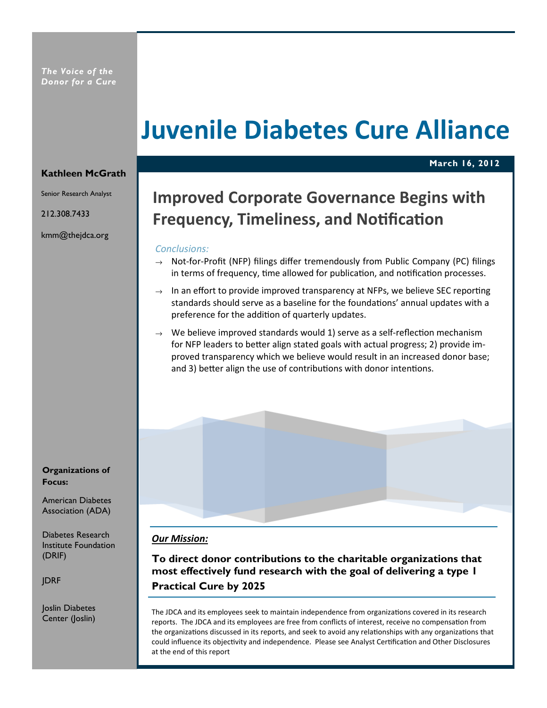# Juvenile Diabetes Cure Alliance

#### Kathleen McGrath

Senior Research Analyst

212.308.7433

kmm@thejdca.org

Organizations of Focus:

American Diabetes

Institute Foundation (DRIF)

JDRF

Joslin Diabetes Center (Joslin)

## Improved Corporate Governance Begins with Frequency, Timeliness, and Notification

March 16, 2012

#### Conclusions:

- $\rightarrow$  Not-for-Profit (NFP) filings differ tremendously from Public Company (PC) filings in terms of frequency, time allowed for publication, and notification processes.
- $\rightarrow$  In an effort to provide improved transparency at NFPs, we believe SEC reporting standards should serve as a baseline for the foundations' annual updates with a preference for the addition of quarterly updates.
- $\rightarrow$  We believe improved standards would 1) serve as a self-reflection mechanism for NFP leaders to better align stated goals with actual progress; 2) provide improved transparency which we believe would result in an increased donor base; and 3) better align the use of contributions with donor intentions.

#### Our Mission:

To direct donor contributions to the charitable organizations that most effectively fund research with the goal of delivering a type 1 Practical Cure by 2025

The JDCA and its employees seek to maintain independence from organizations covered in its research reports. The JDCA and its employees are free from conflicts of interest, receive no compensation from the organizations discussed in its reports, and seek to avoid any relationships with any organizations that could influence its objectivity and independence. Please see Analyst Certification and Other Disclosures at the end of this report

Association (ADA)

Diabetes Research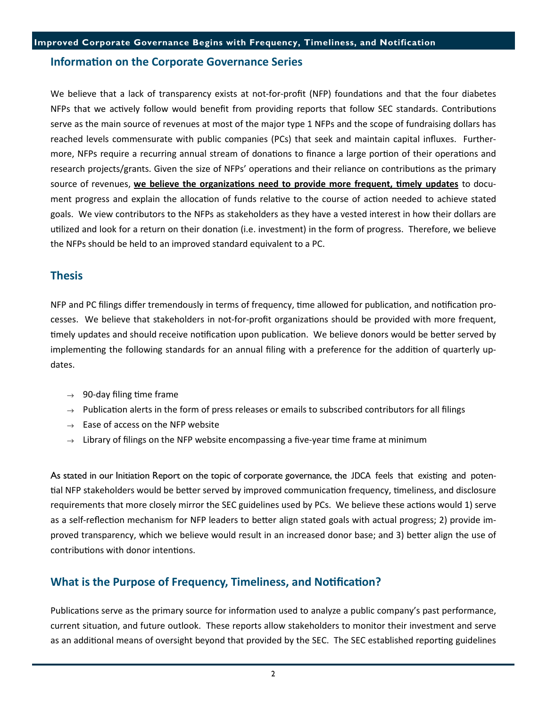#### Information on the Corporate Governance Series

We believe that a lack of transparency exists at not-for-profit (NFP) foundations and that the four diabetes NFPs that we actively follow would benefit from providing reports that follow SEC standards. Contributions serve as the main source of revenues at most of the major type 1 NFPs and the scope of fundraising dollars has reached levels commensurate with public companies (PCs) that seek and maintain capital influxes. Furthermore, NFPs require a recurring annual stream of donations to finance a large portion of their operations and research projects/grants. Given the size of NFPs' operations and their reliance on contributions as the primary source of revenues, we believe the organizations need to provide more frequent, timely updates to document progress and explain the allocation of funds relative to the course of action needed to achieve stated goals. We view contributors to the NFPs as stakeholders as they have a vested interest in how their dollars are utilized and look for a return on their donation (i.e. investment) in the form of progress. Therefore, we believe the NFPs should be held to an improved standard equivalent to a PC.

#### Thesis

NFP and PC filings differ tremendously in terms of frequency, time allowed for publication, and notification processes. We believe that stakeholders in not-for-profit organizations should be provided with more frequent, timely updates and should receive notification upon publication. We believe donors would be better served by implementing the following standards for an annual filing with a preference for the addition of quarterly updates.

- $\rightarrow$  90-day filing time frame
- $\rightarrow$  Publication alerts in the form of press releases or emails to subscribed contributors for all filings
- $\rightarrow$  Ease of access on the NFP website
- $\rightarrow$  Library of filings on the NFP website encompassing a five-year time frame at minimum

As stated in our Initiation Report on the topic of corporate governance, the JDCA feels that existing and potential NFP stakeholders would be better served by improved communication frequency, timeliness, and disclosure requirements that more closely mirror the SEC guidelines used by PCs. We believe these actions would 1) serve as a self-reflection mechanism for NFP leaders to better align stated goals with actual progress; 2) provide improved transparency, which we believe would result in an increased donor base; and 3) better align the use of contributions with donor intentions.

#### What is the Purpose of Frequency, Timeliness, and Notification?

Publications serve as the primary source for information used to analyze a public company's past performance, current situation, and future outlook. These reports allow stakeholders to monitor their investment and serve as an additional means of oversight beyond that provided by the SEC. The SEC established reporting guidelines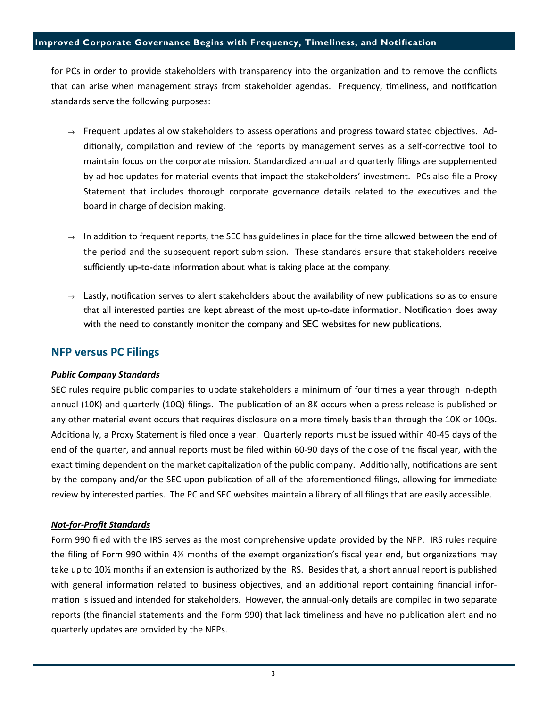#### Improved Corporate Governance Begins with Frequency, Timeliness, and Notification

for PCs in order to provide stakeholders with transparency into the organization and to remove the conflicts that can arise when management strays from stakeholder agendas. Frequency, timeliness, and notification standards serve the following purposes:

- $\rightarrow$  Frequent updates allow stakeholders to assess operations and progress toward stated objectives. Additionally, compilation and review of the reports by management serves as a self-corrective tool to maintain focus on the corporate mission. Standardized annual and quarterly filings are supplemented by ad hoc updates for material events that impact the stakeholders' investment. PCs also file a Proxy Statement that includes thorough corporate governance details related to the executives and the board in charge of decision making.
- $\rightarrow$  In addition to frequent reports, the SEC has guidelines in place for the time allowed between the end of the period and the subsequent report submission. These standards ensure that stakeholders receive sufficiently up-to-date information about what is taking place at the company.
- $\rightarrow$  Lastly, notification serves to alert stakeholders about the availability of new publications so as to ensure that all interested parties are kept abreast of the most up-to-date information. Notification does away with the need to constantly monitor the company and SEC websites for new publications.

#### NFP versus PC Filings

#### Public Company Standards

SEC rules require public companies to update stakeholders a minimum of four times a year through in-depth annual (10K) and quarterly (10Q) filings. The publication of an 8K occurs when a press release is published or any other material event occurs that requires disclosure on a more timely basis than through the 10K or 10Qs. Additionally, a Proxy Statement is filed once a year. Quarterly reports must be issued within 40-45 days of the end of the quarter, and annual reports must be filed within 60-90 days of the close of the fiscal year, with the exact timing dependent on the market capitalization of the public company. Additionally, notifications are sent by the company and/or the SEC upon publication of all of the aforementioned filings, allowing for immediate review by interested parties. The PC and SEC websites maintain a library of all filings that are easily accessible.

#### Not-for-Profit Standards

Form 990 filed with the IRS serves as the most comprehensive update provided by the NFP. IRS rules require the filing of Form 990 within  $4\frac{1}{2}$  months of the exempt organization's fiscal year end, but organizations may take up to 10½ months if an extension is authorized by the IRS. Besides that, a short annual report is published with general information related to business objectives, and an additional report containing financial information is issued and intended for stakeholders. However, the annual-only details are compiled in two separate reports (the financial statements and the Form 990) that lack timeliness and have no publication alert and no quarterly updates are provided by the NFPs.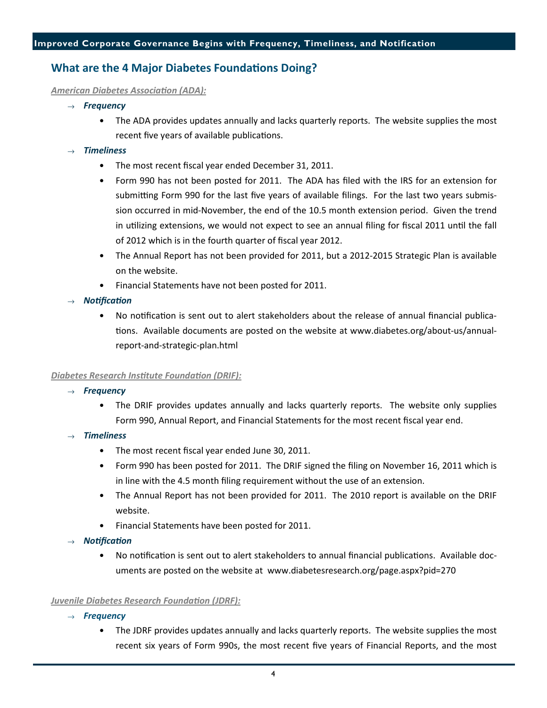### What are the 4 Major Diabetes Foundations Doing?

#### American Diabetes Association (ADA):

- $\rightarrow$  Frequency
	- The ADA provides updates annually and lacks quarterly reports. The website supplies the most recent five years of available publications.

#### **Timeliness**

- The most recent fiscal year ended December 31, 2011.
- Form 990 has not been posted for 2011. The ADA has filed with the IRS for an extension for submitting Form 990 for the last five years of available filings. For the last two years submission occurred in mid-November, the end of the 10.5 month extension period. Given the trend in utilizing extensions, we would not expect to see an annual filing for fiscal 2011 until the fall of 2012 which is in the fourth quarter of fiscal year 2012.
- The Annual Report has not been provided for 2011, but a 2012-2015 Strategic Plan is available on the website.
- Financial Statements have not been posted for 2011.
- $\rightarrow$  Notification
	- No notification is sent out to alert stakeholders about the release of annual financial publications. Available documents are posted on the website at www.diabetes.org/about-us/annualreport-and-strategic-plan.html

#### Diabetes Research Institute Foundation (DRIF):

- $\rightarrow$  Frequency
	- The DRIF provides updates annually and lacks quarterly reports. The website only supplies Form 990, Annual Report, and Financial Statements for the most recent fiscal year end.
- **Timeliness** 
	- The most recent fiscal year ended June 30, 2011.
	- Form 990 has been posted for 2011. The DRIF signed the filing on November 16, 2011 which is in line with the 4.5 month filing requirement without the use of an extension.
	- The Annual Report has not been provided for 2011. The 2010 report is available on the DRIF website.
	- Financial Statements have been posted for 2011.
- Notification
	- No notification is sent out to alert stakeholders to annual financial publications. Available documents are posted on the website at www.diabetesresearch.org/page.aspx?pid=270

#### Juvenile Diabetes Research Foundation (JDRF):

- $\rightarrow$  Frequency
	- The JDRF provides updates annually and lacks quarterly reports. The website supplies the most recent six years of Form 990s, the most recent five years of Financial Reports, and the most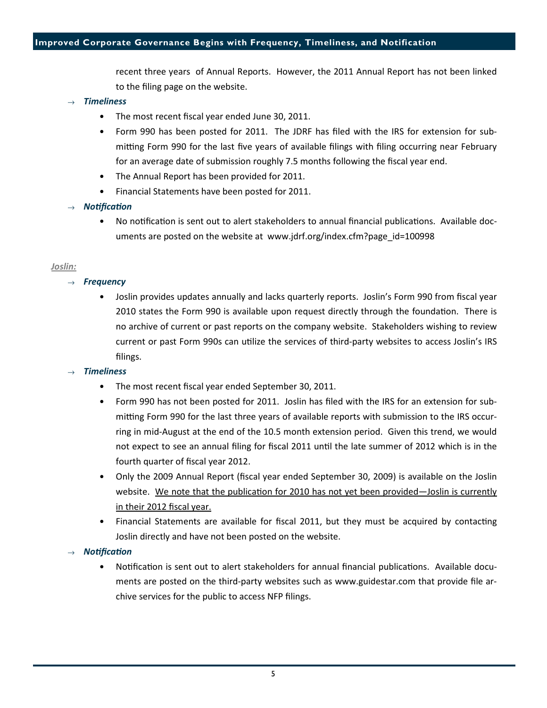#### Improved Corporate Governance Begins with Frequency, Timeliness, and Notification

recent three years of Annual Reports. However, the 2011 Annual Report has not been linked to the filing page on the website.

#### **Timeliness**

- The most recent fiscal year ended June 30, 2011.
- Form 990 has been posted for 2011. The JDRF has filed with the IRS for extension for submitting Form 990 for the last five years of available filings with filing occurring near February for an average date of submission roughly 7.5 months following the fiscal year end.
- The Annual Report has been provided for 2011.
- Financial Statements have been posted for 2011.

#### $\rightarrow$  Notification

No notification is sent out to alert stakeholders to annual financial publications. Available documents are posted on the website at www.jdrf.org/index.cfm?page\_id=100998

#### Joslin:

- $\rightarrow$  Frequency
	- Joslin provides updates annually and lacks quarterly reports. Joslin's Form 990 from fiscal year 2010 states the Form 990 is available upon request directly through the foundation. There is no archive of current or past reports on the company website. Stakeholders wishing to review current or past Form 990s can utilize the services of third-party websites to access Joslin's IRS filings.

#### **Timeliness**

- The most recent fiscal year ended September 30, 2011.
- Form 990 has not been posted for 2011. Joslin has filed with the IRS for an extension for submitting Form 990 for the last three years of available reports with submission to the IRS occurring in mid-August at the end of the 10.5 month extension period. Given this trend, we would not expect to see an annual filing for fiscal 2011 until the late summer of 2012 which is in the fourth quarter of fiscal year 2012.
- Only the 2009 Annual Report (fiscal year ended September 30, 2009) is available on the Joslin website. We note that the publication for 2010 has not yet been provided—Joslin is currently in their 2012 fiscal year.
- Financial Statements are available for fiscal 2011, but they must be acquired by contacting Joslin directly and have not been posted on the website.

#### Notification

Notification is sent out to alert stakeholders for annual financial publications. Available documents are posted on the third-party websites such as www.guidestar.com that provide file archive services for the public to access NFP filings.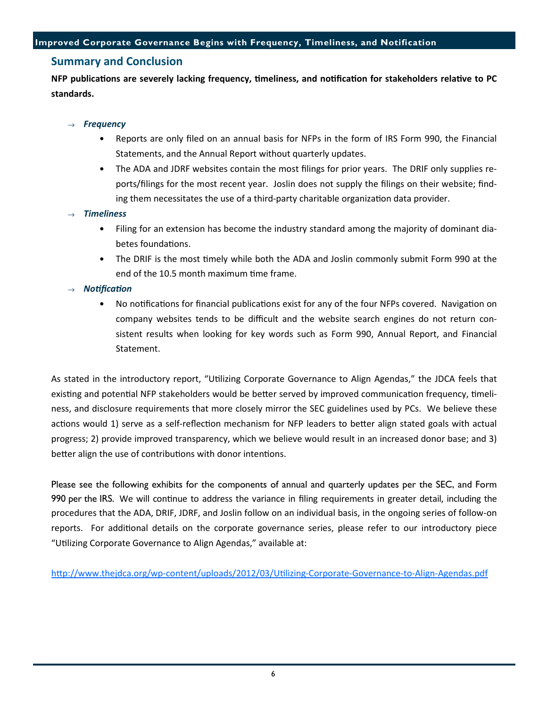#### Improved Corporate Governance Begins with Frequency, Timeliness, and Notification

#### Summary and Conclusion

NFP publications are severely lacking frequency, timeliness, and notification for stakeholders relative to PC standards.

#### $\rightarrow$  Frequency

- Reports are only filed on an annual basis for NFPs in the form of IRS Form 990, the Financial Statements, and the Annual Report without quarterly updates.
- The ADA and JDRF websites contain the most filings for prior years. The DRIF only supplies reports/filings for the most recent year. Joslin does not supply the filings on their website; finding them necessitates the use of a third-party charitable organization data provider.

#### **Timeliness**

- Filing for an extension has become the industry standard among the majority of dominant diabetes foundations.
- The DRIF is the most timely while both the ADA and Joslin commonly submit Form 990 at the end of the 10.5 month maximum time frame.

#### Notification

• No notifications for financial publications exist for any of the four NFPs covered. Navigation on company websites tends to be difficult and the website search engines do not return consistent results when looking for key words such as Form 990, Annual Report, and Financial Statement.

As stated in the introductory report, "Utilizing Corporate Governance to Align Agendas," the JDCA feels that existing and potential NFP stakeholders would be better served by improved communication frequency, timeliness, and disclosure requirements that more closely mirror the SEC guidelines used by PCs. We believe these actions would 1) serve as a self-reflection mechanism for NFP leaders to better align stated goals with actual progress; 2) provide improved transparency, which we believe would result in an increased donor base; and 3) better align the use of contributions with donor intentions.

Please see the following exhibits for the components of annual and quarterly updates per the SEC, and Form 990 per the IRS. We will continue to address the variance in filing requirements in greater detail, including the procedures that the ADA, DRIF, JDRF, and Joslin follow on an individual basis, in the ongoing series of follow-on reports. For additional details on the corporate governance series, please refer to our introductory piece "Utilizing Corporate Governance to Align Agendas," available at:

http://www.thejdca.org/wp-content/uploads/2012/03/Utilizing-Corporate-Governance-to-Align-Agendas.pdf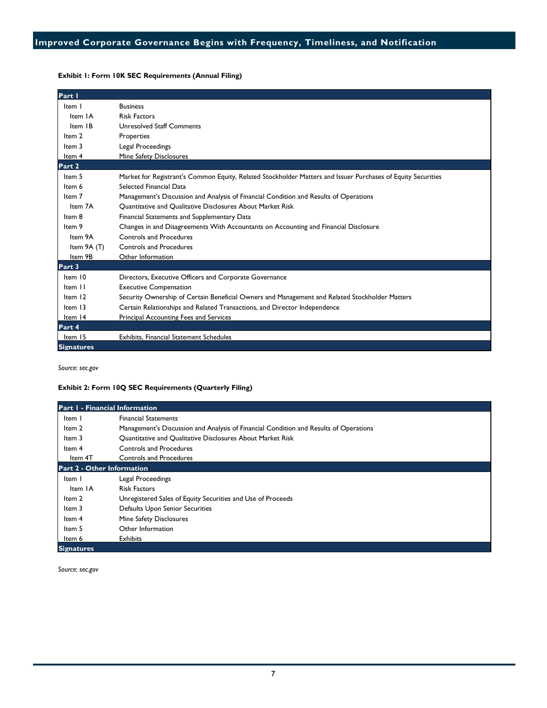#### Exhibit 1: Form 10K SEC Requirements (Annual Filing)

| Part I            |                                                                                                              |
|-------------------|--------------------------------------------------------------------------------------------------------------|
| Item I            | <b>Business</b>                                                                                              |
| Item IA           | <b>Risk Factors</b>                                                                                          |
| Item IB           | Unresolved Staff Comments                                                                                    |
| Item 2            | Properties                                                                                                   |
| Item 3            | Legal Proceedings                                                                                            |
| Item 4            | Mine Safety Disclosures                                                                                      |
| Part 2            |                                                                                                              |
| Item 5            | Market for Registrant's Common Equity, Related Stockholder Matters and Issuer Purchases of Equity Securities |
| Item 6            | Selected Financial Data                                                                                      |
| Item 7            | Management's Discussion and Analysis of Financial Condition and Results of Operations                        |
| Item 7A           | <b>Ouantitative and Oualitative Disclosures About Market Risk</b>                                            |
| Item 8            | Financial Statements and Supplementary Data                                                                  |
| Item 9            | Changes in and Disagreements With Accountants on Accounting and Financial Disclosure                         |
| Item 9A           | Controls and Procedures                                                                                      |
| Item 9A (T)       | <b>Controls and Procedures</b>                                                                               |
| Item 9B           | Other Information                                                                                            |
| Part 3            |                                                                                                              |
| Item 10           | Directors, Executive Officers and Corporate Governance                                                       |
| Item II           | <b>Executive Compensation</b>                                                                                |
| Item 12           | Security Ownership of Certain Beneficial Owners and Management and Related Stockholder Matters               |
| Item 13           | Certain Relationships and Related Transactions, and Director Independence                                    |
| Item 14           | Principal Accounting Fees and Services                                                                       |
| Part 4            |                                                                                                              |
| Item 15           | <b>Exhibits. Financial Statement Schedules</b>                                                               |
| <b>Signatures</b> |                                                                                                              |

Source: sec.gov

#### Exhibit 2: Form 10Q SEC Requirements (Quarterly Filing)

| <b>Part I - Financial Information</b> |                                                                                       |  |  |
|---------------------------------------|---------------------------------------------------------------------------------------|--|--|
| Item I                                | <b>Financial Statements</b>                                                           |  |  |
| Item 2                                | Management's Discussion and Analysis of Financial Condition and Results of Operations |  |  |
| Item 3                                | Quantitative and Qualitative Disclosures About Market Risk                            |  |  |
| Item 4                                | <b>Controls and Procedures</b>                                                        |  |  |
| Item 4T                               | <b>Controls and Procedures</b>                                                        |  |  |
| <b>Part 2 - Other Information</b>     |                                                                                       |  |  |
| Item I                                | Legal Proceedings                                                                     |  |  |
| Item IA                               | <b>Risk Factors</b>                                                                   |  |  |
| Item 2                                | Unregistered Sales of Equity Securities and Use of Proceeds                           |  |  |
| Item 3                                | Defaults Upon Senior Securities                                                       |  |  |
| Item 4                                | Mine Safety Disclosures                                                               |  |  |
| Item 5                                | Other Information                                                                     |  |  |
| Item 6                                | <b>Exhibits</b>                                                                       |  |  |
| <b>Signatures</b>                     |                                                                                       |  |  |

Source: sec.gov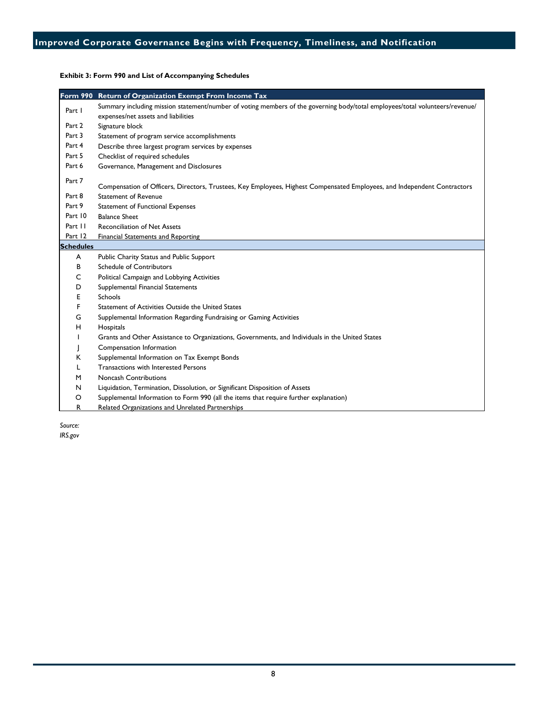|                  | Form 990 Return of Organization Exempt From Income Tax                                                                       |
|------------------|------------------------------------------------------------------------------------------------------------------------------|
| Part I           | Summary including mission statement/number of voting members of the governing body/total employees/total volunteers/revenue/ |
|                  | expenses/net assets and liabilities                                                                                          |
| Part 2           | Signature block                                                                                                              |
| Part 3           | Statement of program service accomplishments                                                                                 |
| Part 4           | Describe three largest program services by expenses                                                                          |
| Part 5           | Checklist of required schedules                                                                                              |
| Part 6           | Governance, Management and Disclosures                                                                                       |
| Part 7           |                                                                                                                              |
|                  | Compensation of Officers, Directors, Trustees, Key Employees, Highest Compensated Employees, and Independent Contractors     |
| Part 8           | <b>Statement of Revenue</b>                                                                                                  |
| Part 9           | <b>Statement of Functional Expenses</b>                                                                                      |
| Part 10          | <b>Balance Sheet</b>                                                                                                         |
| Part II          | <b>Reconciliation of Net Assets</b>                                                                                          |
| Part 12          | <b>Financial Statements and Reporting</b>                                                                                    |
| <b>Schedules</b> |                                                                                                                              |
| A                | Public Charity Status and Public Support                                                                                     |
| B                | Schedule of Contributors                                                                                                     |
| С                | Political Campaign and Lobbying Activities                                                                                   |
| D                | Supplemental Financial Statements                                                                                            |
| Е                | Schools                                                                                                                      |
| F                | Statement of Activities Outside the United States                                                                            |
| G                | Supplemental Information Regarding Fundraising or Gaming Activities                                                          |
| Н                | Hospitals                                                                                                                    |
|                  | Grants and Other Assistance to Organizations, Governments, and Individuals in the United States                              |
|                  | Compensation Information                                                                                                     |
| К                | Supplemental Information on Tax Exempt Bonds                                                                                 |
|                  | <b>Transactions with Interested Persons</b>                                                                                  |
| M                | <b>Noncash Contributions</b>                                                                                                 |
| N                | Liquidation, Termination, Dissolution, or Significant Disposition of Assets                                                  |
| O                | Supplemental Information to Form 990 (all the items that require further explanation)                                        |
| R                | Related Organizations and Unrelated Partnerships                                                                             |

Exhibit 3: Form 990 and List of Accompanying Schedules

Source: IRS.gov